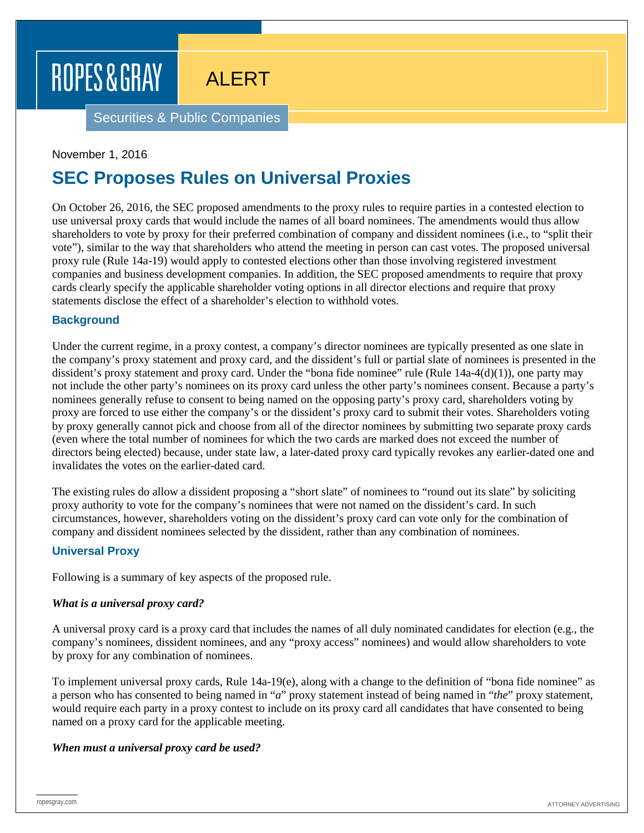ALERT

Securities & Public Companies

### November 1, 2016

### **SEC Proposes Rules on Universal Proxies**

On October 26, 2016, the SEC proposed amendments to the proxy rules to require parties in a contested election to use universal proxy cards that would include the names of all board nominees. The amendments would thus allow shareholders to vote by proxy for their preferred combination of company and dissident nominees (i.e., to "split their vote"), similar to the way that shareholders who attend the meeting in person can cast votes. The proposed universal proxy rule (Rule 14a-19) would apply to contested elections other than those involving registered investment companies and business development companies. In addition, the SEC proposed amendments to require that proxy cards clearly specify the applicable shareholder voting options in all director elections and require that proxy statements disclose the effect of a shareholder's election to withhold votes.

### **Background**

Under the current regime, in a proxy contest, a company's director nominees are typically presented as one slate in the company's proxy statement and proxy card, and the dissident's full or partial slate of nominees is presented in the dissident's proxy statement and proxy card. Under the "bona fide nominee" rule (Rule  $14a-4(d)(1)$ ), one party may not include the other party's nominees on its proxy card unless the other party's nominees consent. Because a party's nominees generally refuse to consent to being named on the opposing party's proxy card, shareholders voting by proxy are forced to use either the company's or the dissident's proxy card to submit their votes. Shareholders voting by proxy generally cannot pick and choose from all of the director nominees by submitting two separate proxy cards (even where the total number of nominees for which the two cards are marked does not exceed the number of directors being elected) because, under state law, a later-dated proxy card typically revokes any earlier-dated one and invalidates the votes on the earlier-dated card.

The existing rules do allow a dissident proposing a "short slate" of nominees to "round out its slate" by soliciting proxy authority to vote for the company's nominees that were not named on the dissident's card. In such circumstances, however, shareholders voting on the dissident's proxy card can vote only for the combination of company and dissident nominees selected by the dissident, rather than any combination of nominees.

### **Universal Proxy**

Following is a summary of key aspects of the proposed rule.

### *What is a universal proxy card?*

A universal proxy card is a proxy card that includes the names of all duly nominated candidates for election (e.g., the company's nominees, dissident nominees, and any "proxy access" nominees) and would allow shareholders to vote by proxy for any combination of nominees.

To implement universal proxy cards, Rule 14a-19(e), along with a change to the definition of "bona fide nominee" as a person who has consented to being named in "*a*" proxy statement instead of being named in "*the*" proxy statement, would require each party in a proxy contest to include on its proxy card all candidates that have consented to being named on a proxy card for the applicable meeting.

### *When must a universal proxy card be used?*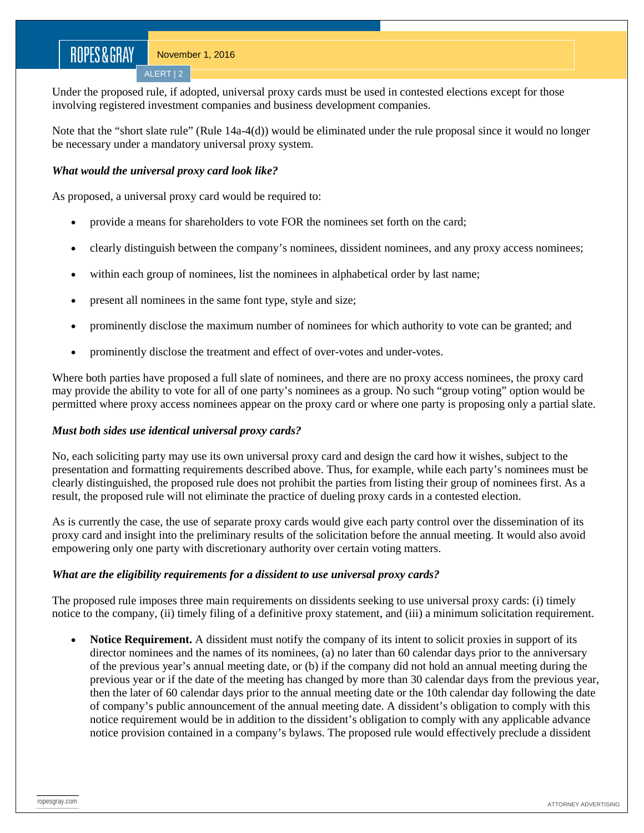Under the proposed rule, if adopted, universal proxy cards must be used in contested elections except for those involving registered investment companies and business development companies.

Note that the "short slate rule" (Rule 14a-4(d)) would be eliminated under the rule proposal since it would no longer be necessary under a mandatory universal proxy system.

### *What would the universal proxy card look like?*

ALERT | 2

As proposed, a universal proxy card would be required to:

- provide a means for shareholders to vote FOR the nominees set forth on the card;
- clearly distinguish between the company's nominees, dissident nominees, and any proxy access nominees;
- within each group of nominees, list the nominees in alphabetical order by last name;
- present all nominees in the same font type, style and size;
- prominently disclose the maximum number of nominees for which authority to vote can be granted; and
- prominently disclose the treatment and effect of over-votes and under-votes.

Where both parties have proposed a full slate of nominees, and there are no proxy access nominees, the proxy card may provide the ability to vote for all of one party's nominees as a group. No such "group voting" option would be permitted where proxy access nominees appear on the proxy card or where one party is proposing only a partial slate.

### *Must both sides use identical universal proxy cards?*

No, each soliciting party may use its own universal proxy card and design the card how it wishes, subject to the presentation and formatting requirements described above. Thus, for example, while each party's nominees must be clearly distinguished, the proposed rule does not prohibit the parties from listing their group of nominees first. As a result, the proposed rule will not eliminate the practice of dueling proxy cards in a contested election.

As is currently the case, the use of separate proxy cards would give each party control over the dissemination of its proxy card and insight into the preliminary results of the solicitation before the annual meeting. It would also avoid empowering only one party with discretionary authority over certain voting matters.

### *What are the eligibility requirements for a dissident to use universal proxy cards?*

The proposed rule imposes three main requirements on dissidents seeking to use universal proxy cards: (i) timely notice to the company, (ii) timely filing of a definitive proxy statement, and (iii) a minimum solicitation requirement.

• **Notice Requirement.** A dissident must notify the company of its intent to solicit proxies in support of its director nominees and the names of its nominees, (a) no later than 60 calendar days prior to the anniversary of the previous year's annual meeting date, or (b) if the company did not hold an annual meeting during the previous year or if the date of the meeting has changed by more than 30 calendar days from the previous year, then the later of 60 calendar days prior to the annual meeting date or the 10th calendar day following the date of company's public announcement of the annual meeting date. A dissident's obligation to comply with this notice requirement would be in addition to the dissident's obligation to comply with any applicable advance notice provision contained in a company's bylaws. The proposed rule would effectively preclude a dissident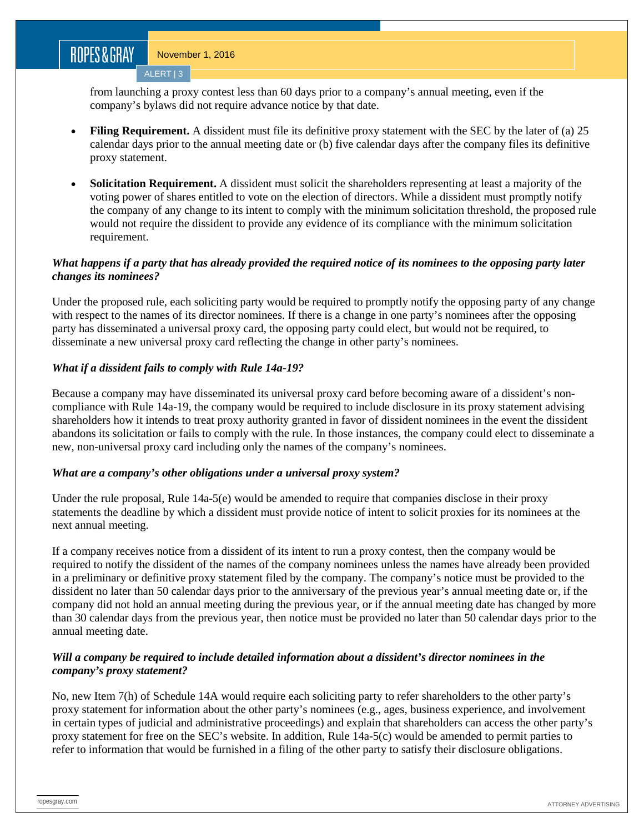from launching a proxy contest less than 60 days prior to a company's annual meeting, even if the company's bylaws did not require advance notice by that date.

- **Filing Requirement.** A dissident must file its definitive proxy statement with the SEC by the later of (a) 25 calendar days prior to the annual meeting date or (b) five calendar days after the company files its definitive proxy statement.
- **Solicitation Requirement.** A dissident must solicit the shareholders representing at least a majority of the voting power of shares entitled to vote on the election of directors. While a dissident must promptly notify the company of any change to its intent to comply with the minimum solicitation threshold, the proposed rule would not require the dissident to provide any evidence of its compliance with the minimum solicitation requirement.

### *What happens if a party that has already provided the required notice of its nominees to the opposing party later changes its nominees?*

Under the proposed rule, each soliciting party would be required to promptly notify the opposing party of any change with respect to the names of its director nominees. If there is a change in one party's nominees after the opposing party has disseminated a universal proxy card, the opposing party could elect, but would not be required, to disseminate a new universal proxy card reflecting the change in other party's nominees.

### *What if a dissident fails to comply with Rule 14a-19?*

Because a company may have disseminated its universal proxy card before becoming aware of a dissident's noncompliance with Rule 14a-19, the company would be required to include disclosure in its proxy statement advising shareholders how it intends to treat proxy authority granted in favor of dissident nominees in the event the dissident abandons its solicitation or fails to comply with the rule. In those instances, the company could elect to disseminate a new, non-universal proxy card including only the names of the company's nominees.

### *What are a company's other obligations under a universal proxy system?*

Under the rule proposal, Rule 14a-5(e) would be amended to require that companies disclose in their proxy statements the deadline by which a dissident must provide notice of intent to solicit proxies for its nominees at the next annual meeting.

If a company receives notice from a dissident of its intent to run a proxy contest, then the company would be required to notify the dissident of the names of the company nominees unless the names have already been provided in a preliminary or definitive proxy statement filed by the company. The company's notice must be provided to the dissident no later than 50 calendar days prior to the anniversary of the previous year's annual meeting date or, if the company did not hold an annual meeting during the previous year, or if the annual meeting date has changed by more than 30 calendar days from the previous year, then notice must be provided no later than 50 calendar days prior to the annual meeting date.

### *Will a company be required to include detailed information about a dissident's director nominees in the company's proxy statement?*

No, new Item 7(h) of Schedule 14A would require each soliciting party to refer shareholders to the other party's proxy statement for information about the other party's nominees (e.g., ages, business experience, and involvement in certain types of judicial and administrative proceedings) and explain that shareholders can access the other party's proxy statement for free on the SEC's website. In addition, Rule 14a-5(c) would be amended to permit parties to refer to information that would be furnished in a filing of the other party to satisfy their disclosure obligations.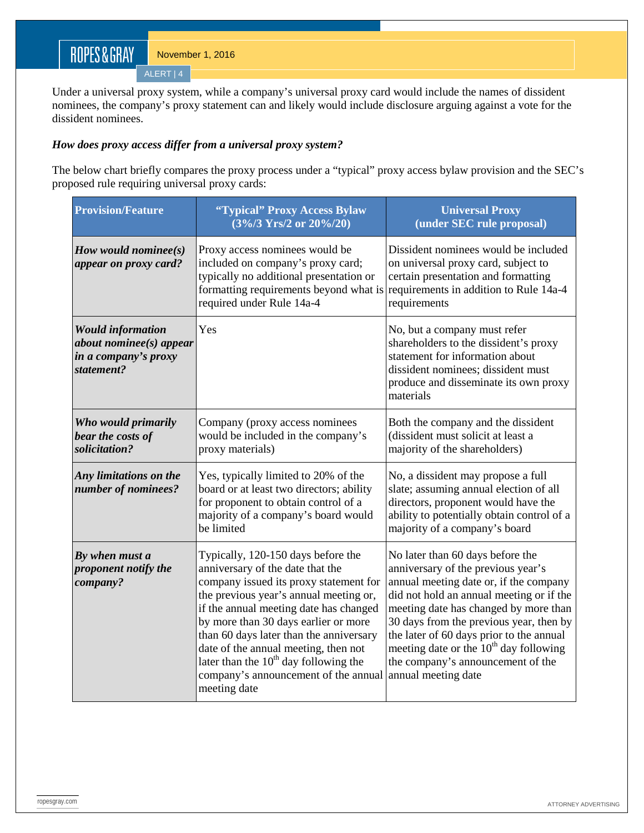Under a universal proxy system, while a company's universal proxy card would include the names of dissident nominees, the company's proxy statement can and likely would include disclosure arguing against a vote for the dissident nominees.

### *How does proxy access differ from a universal proxy system?*

The below chart briefly compares the proxy process under a "typical" proxy access bylaw provision and the SEC's proposed rule requiring universal proxy cards:

| <b>Provision/Feature</b>                                                                  | "Typical" Proxy Access Bylaw<br>$(3\sqrt{9}/3 \text{ Yrs}/2 \text{ or } 20\sqrt{9}/20)$                                                                                                                                                                                                                                                                                                                                            | <b>Universal Proxy</b><br>(under SEC rule proposal)                                                                                                                                                                                                                                                                                                                                                  |
|-------------------------------------------------------------------------------------------|------------------------------------------------------------------------------------------------------------------------------------------------------------------------------------------------------------------------------------------------------------------------------------------------------------------------------------------------------------------------------------------------------------------------------------|------------------------------------------------------------------------------------------------------------------------------------------------------------------------------------------------------------------------------------------------------------------------------------------------------------------------------------------------------------------------------------------------------|
| How would nominee $(s)$<br>appear on proxy card?                                          | Proxy access nominees would be<br>included on company's proxy card;<br>typically no additional presentation or<br>formatting requirements beyond what is<br>required under Rule 14a-4                                                                                                                                                                                                                                              | Dissident nominees would be included<br>on universal proxy card, subject to<br>certain presentation and formatting<br>requirements in addition to Rule 14a-4<br>requirements                                                                                                                                                                                                                         |
| <b>Would information</b><br>about nomines(s) appear<br>in a company's proxy<br>statement? | Yes                                                                                                                                                                                                                                                                                                                                                                                                                                | No, but a company must refer<br>shareholders to the dissident's proxy<br>statement for information about<br>dissident nominees; dissident must<br>produce and disseminate its own proxy<br>materials                                                                                                                                                                                                 |
| Who would primarily<br>bear the costs of<br>solicitation?                                 | Company (proxy access nominees<br>would be included in the company's<br>proxy materials)                                                                                                                                                                                                                                                                                                                                           | Both the company and the dissident<br>(dissident must solicit at least a<br>majority of the shareholders)                                                                                                                                                                                                                                                                                            |
| Any limitations on the<br>number of nominees?                                             | Yes, typically limited to 20% of the<br>board or at least two directors; ability<br>for proponent to obtain control of a<br>majority of a company's board would<br>be limited                                                                                                                                                                                                                                                      | No, a dissident may propose a full<br>slate; assuming annual election of all<br>directors, proponent would have the<br>ability to potentially obtain control of a<br>majority of a company's board                                                                                                                                                                                                   |
| By when must a<br>proponent notify the<br>company?                                        | Typically, 120-150 days before the<br>anniversary of the date that the<br>company issued its proxy statement for<br>the previous year's annual meeting or,<br>if the annual meeting date has changed<br>by more than 30 days earlier or more<br>than 60 days later than the anniversary<br>date of the annual meeting, then not<br>later than the $10th$ day following the<br>company's announcement of the annual<br>meeting date | No later than 60 days before the<br>anniversary of the previous year's<br>annual meeting date or, if the company<br>did not hold an annual meeting or if the<br>meeting date has changed by more than<br>30 days from the previous year, then by<br>the later of 60 days prior to the annual<br>meeting date or the $10th$ day following<br>the company's announcement of the<br>annual meeting date |